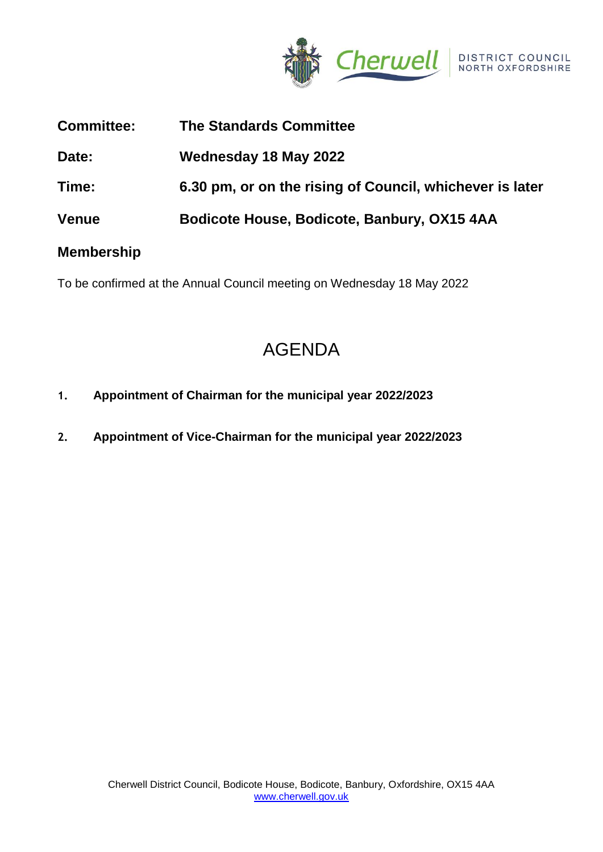

| <b>Committee:</b> | <b>The Standards Committee</b>                           |
|-------------------|----------------------------------------------------------|
| Date:             | Wednesday 18 May 2022                                    |
| Time:             | 6.30 pm, or on the rising of Council, whichever is later |
| <b>Venue</b>      | Bodicote House, Bodicote, Banbury, OX15 4AA              |
|                   |                                                          |

## **Membership**

To be confirmed at the Annual Council meeting on Wednesday 18 May 2022

# AGENDA

- **1. Appointment of Chairman for the municipal year 2022/2023**
- **2. Appointment of Vice-Chairman for the municipal year 2022/2023**